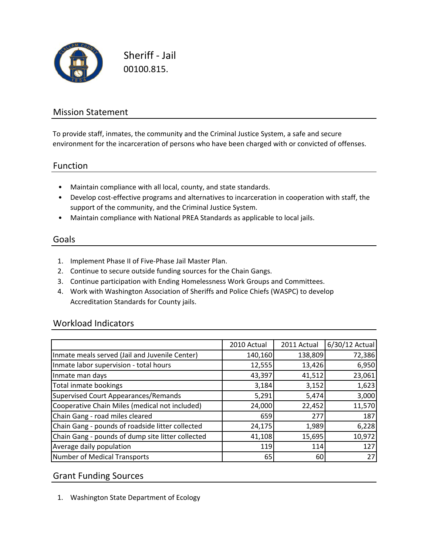

Sheriff ‐ Jail 00100.815.

## Mission Statement

To provide staff, inmates, the community and the Criminal Justice System, a safe and secure environment for the incarceration of persons who have been charged with or convicted of offenses.

#### Function

- Maintain compliance with all local, county, and state standards.
- Develop cost‐effective programs and alternatives to incarceration in cooperation with staff, the support of the community, and the Criminal Justice System.
- Maintain compliance with National PREA Standards as applicable to local jails.

#### Goals

- 1. Implement Phase II of Five‐Phase Jail Master Plan.
- 2. Continue to secure outside funding sources for the Chain Gangs.
- 3. Continue participation with Ending Homelessness Work Groups and Committees.
- 4. Work with Washington Association of Sheriffs and Police Chiefs (WASPC) to develop Accreditation Standards for County jails.

### Workload Indicators

|                                                   | 2010 Actual | 2011 Actual | 6/30/12 Actual |
|---------------------------------------------------|-------------|-------------|----------------|
| Inmate meals served (Jail and Juvenile Center)    | 140,160     | 138,809     | 72,386         |
| Inmate labor supervision - total hours            | 12,555      | 13,426      | 6,950          |
| Inmate man days                                   | 43,397      | 41,512      | 23,061         |
| Total inmate bookings                             | 3,184       | 3,152       | 1,623          |
| Supervised Court Appearances/Remands              | 5,291       | 5,474       | 3,000          |
| Cooperative Chain Miles (medical not included)    | 24,000      | 22,452      | 11,570         |
| Chain Gang - road miles cleared                   | 659         | 277         | 187            |
| Chain Gang - pounds of roadside litter collected  | 24,175      | 1,989       | 6,228          |
| Chain Gang - pounds of dump site litter collected | 41,108      | 15,695      | 10,972         |
| Average daily population                          | 119         | 114         | 127            |
| Number of Medical Transports                      | 65          | 60          | 27             |

#### Grant Funding Sources

1. Washington State Department of Ecology